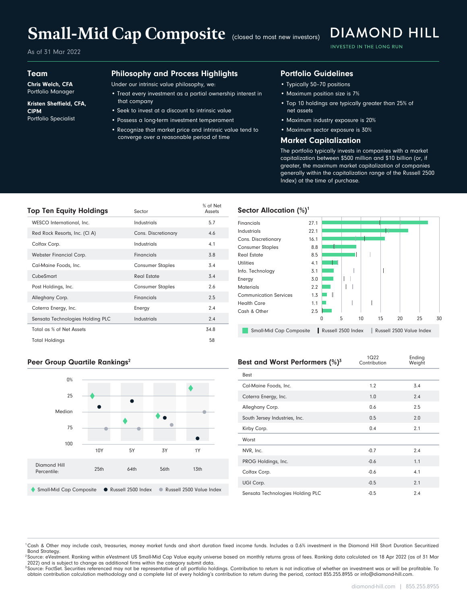# Small-Mid Cap Composite (closed to most new investors)

As of 31 Mar 2022

#### Team

Chris Welch, CFA Portfolio Manager

#### Kristen Sheffield, CFA, CIPM Portfolio Specialist

#### Philosophy and Process Highlights

Under our intrinsic value philosophy, we:

- Treat every investment as a partial ownership interest in that company
- Seek to invest at a discount to intrinsic value
- Possess a long-term investment temperament
- Recognize that market price and intrinsic value tend to converge over a reasonable period of time

### Portfolio Guidelines

- Typically 50–70 positions
- Maximum position size is 7%
- Top 10 holdings are typically greater than 25% of net assets

**DIAMOND HILL** 

INVESTED IN THE LONG RUN

- Maximum industry exposure is 20%
- Maximum sector exposure is 30%

#### Market Capitalization

The portfolio typically invests in companies with a market capitalization between \$500 million and \$10 billion (or, if greater, the maximum market capitalization of companies generally within the capitalization range of the Russell 2500 Index) at the time of purchase.

| <b>Top Ten Equity Holdings</b>   | Sector                  | % of Net<br>Assets |
|----------------------------------|-------------------------|--------------------|
| WESCO International, Inc.        | Industrials             | 5.7                |
| Red Rock Resorts, Inc. (CI A)    | Cons. Discretionary     | 4.6                |
| Colfax Corp.                     | Industrials             | 4.1                |
| Webster Financial Corp.          | Financials              | 3.8                |
| Cal-Maine Foods, Inc.            | <b>Consumer Staples</b> | 3.4                |
| CubeSmart                        | Real Estate             | 3.4                |
| Post Holdings, Inc.              | <b>Consumer Staples</b> | 2.6                |
| Alleghany Corp.                  | Financials              | 2.5                |
| Coterra Energy, Inc.             | Energy                  | 2.4                |
| Sensata Technologies Holding PLC | Industrials             | 2.4                |
| Total as % of Net Assets         |                         | 34.8               |
| <b>Total Holdings</b>            |                         | 58                 |

#### Sector Allocation  $(\%)^1$



#### Peer Group Quartile Rankings<sup>2</sup>



| Best and Worst Performers (%) <sup>3</sup> | 1922<br>Contribution | criging<br>Weight |  |  |  |
|--------------------------------------------|----------------------|-------------------|--|--|--|
| Best                                       |                      |                   |  |  |  |
| Cal-Maine Foods, Inc.                      | 1.2                  | 3.4               |  |  |  |
| Coterra Energy, Inc.                       | 1.0                  | 2.4               |  |  |  |
| Alleghany Corp.                            | 0.6                  | 2.5               |  |  |  |
| South Jersey Industries, Inc.              | 0.5                  | 2.0               |  |  |  |
| Kirby Corp.                                | 0.4                  | 2.1               |  |  |  |
| Worst                                      |                      |                   |  |  |  |
| NVR, Inc.                                  | $-0.7$               | 2.4               |  |  |  |
| PROG Holdings, Inc.                        | $-0.6$               | 1.1               |  |  |  |
| Colfax Corp.                               | $-0.6$               | 4.1               |  |  |  |
| UGI Corp.                                  | $-0.5$               | 2.1               |  |  |  |
| Sensata Technologies Holding PLC           | $-0.5$               | 2.4               |  |  |  |

<sup>1</sup>Cash & Other may include cash, treasuries, money market funds and short duration fixed income funds. Includes a 0.6% investment in the Diamond Hill Short Duration Securitized Bond Strategy.

<sup>2</sup> Source: eVestment. Ranking within eVestment US Small-Mid Cap Value equity universe based on monthly returns gross of fees. Ranking data calculated on 18 Apr 2022 (as of 31 Mar 2022) and is subject to change as additional firms within the category submit data.

<sup>3</sup> Source: FactSet. Securities referenced may not be representative of all portfolio holdings. Contribution to return is not indicative of whether an investment was or will be profitable. To obtain contribution calculation methodology and a complete list of every holding's contribution to return during the period, contact 855.255.8955 or info@diamond-hill.com.

Ending

 $1022$